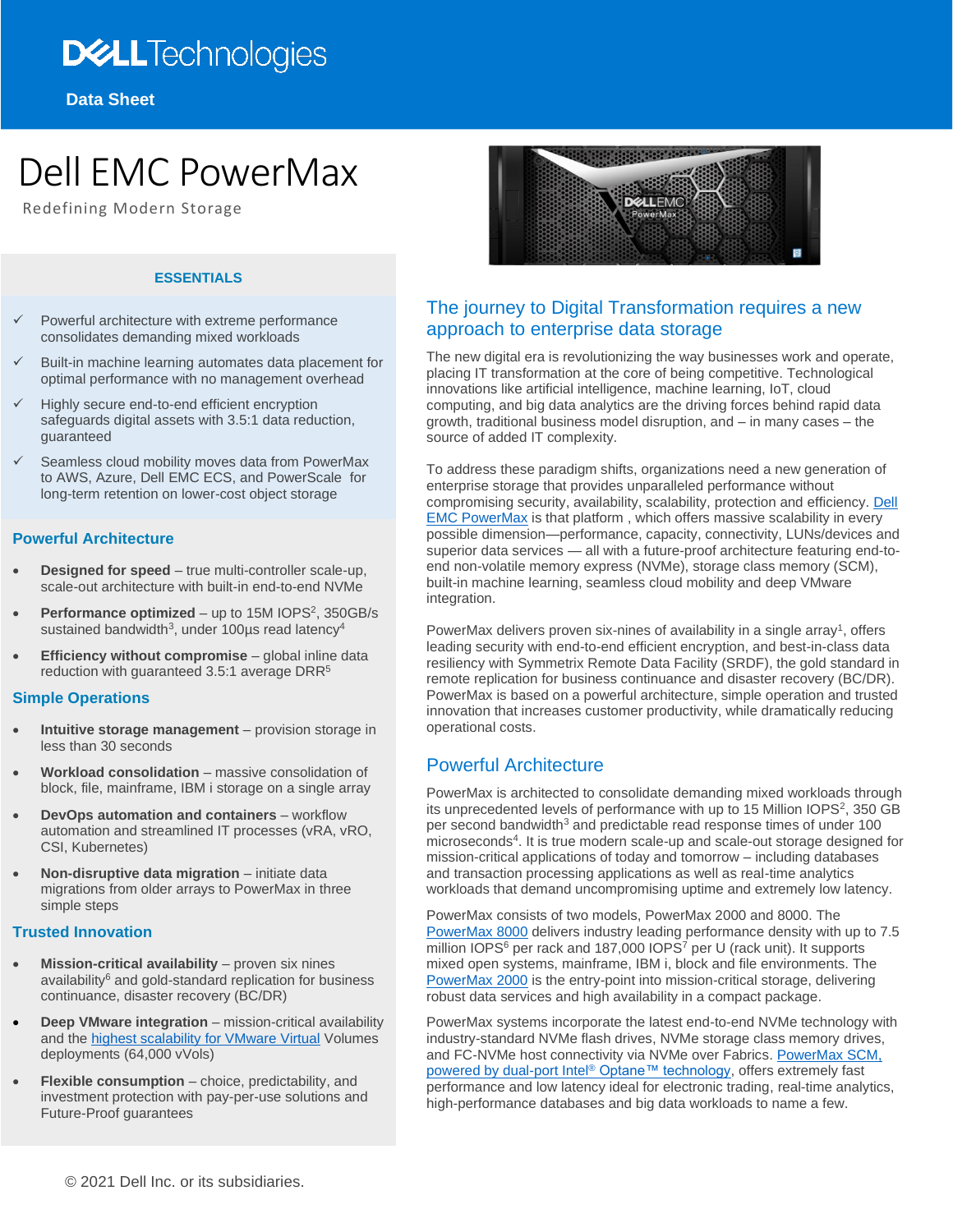# **DELL**Technologies

**Data Sheet**

# Dell EMC PowerMax

Redefining Modern Storage

#### **ESSENTIALS**

- ✓ Powerful architecture with extreme performance consolidates demanding mixed workloads
- Built-in machine learning automates data placement for optimal performance with no management overhead
- Highly secure end-to-end efficient encryption safeguards digital assets with 3.5:1 data reduction, guaranteed
- Seamless cloud mobility moves data from PowerMax to AWS, Azure, Dell EMC ECS, and PowerScale for long-term retention on lower-cost object storage

#### **Powerful Architecture**

- **Designed for speed** true multi-controller scale-up, scale-out architecture with built-in end-to-end NVMe
- Performance optimized up to 15M IOPS<sup>2</sup>, 350GB/s sustained bandwidth<sup>3</sup>, under 100 $\mu$ s read latency<sup>4</sup>
- **Efficiency without compromise** global inline data reduction with guaranteed 3.5:1 average DRR<sup>5</sup>

#### **Simple Operations**

- **Intuitive storage management** provision storage in less than 30 seconds
- **Workload consolidation** massive consolidation of block, file, mainframe, IBM i storage on a single array
- **DevOps automation and containers** workflow automation and streamlined IT processes (vRA, vRO, CSI, Kubernetes)
- **Non-disruptive data migration** initiate data migrations from older arrays to PowerMax in three simple steps

#### **Trusted Innovation**

- **Mission-critical availability** proven six nines availability<sup>6</sup> and gold-standard replication for business continuance, disaster recovery (BC/DR)
- **Deep VMware integration** mission-critical availability and th[e highest scalability for VMware Virtual](http://blogs.vmware.com/virtualblocks/2020/09/29/new-dell-emc-powermax-updates-push-the-boundaries-of-high-end-storage) Volumes deployments (64,000 vVols)
- **Flexible consumption** choice, predictability, and investment protection with pay-per-use solutions and Future-Proof guarantees



## The journey to Digital Transformation requires a new approach to enterprise data storage

The new digital era is revolutionizing the way businesses work and operate, placing IT transformation at the core of being competitive. Technological innovations like artificial intelligence, machine learning, IoT, cloud computing, and big data analytics are the driving forces behind rapid data growth, traditional business model disruption, and – in many cases – the source of added IT complexity.

To address these paradigm shifts, organizations need a new generation of enterprise storage that provides unparalleled performance without compromising security, availability, scalability, protection and efficiency. [Dell](https://www.delltechnologies.com/en-us/storage/powermax.htm#scroll=off)  [EMC PowerMax](https://www.delltechnologies.com/en-us/storage/powermax.htm#scroll=off) is that platform , which offers massive scalability in every possible dimension—performance, capacity, connectivity, LUNs/devices and superior data services — all with a future-proof architecture featuring end-toend non-volatile memory express (NVMe), storage class memory (SCM), built-in machine learning, seamless cloud mobility and deep VMware integration.

PowerMax delivers proven six-nines of availability in a single array<sup>1</sup>, offers leading security with end-to-end efficient encryption, and best-in-class data resiliency with Symmetrix Remote Data Facility (SRDF), the gold standard in remote replication for business continuance and disaster recovery (BC/DR). PowerMax is based on a powerful architecture, simple operation and trusted innovation that increases customer productivity, while dramatically reducing operational costs.

## Powerful Architecture

PowerMax is architected to consolidate demanding mixed workloads through its unprecedented levels of performance with up to 15 Million  $IOPS<sup>2</sup>$ , 350 GB per second bandwidth<sup>3</sup> and predictable read response times of under 100 microseconds<sup>4</sup>. It is true modern scale-up and scale-out storage designed for mission-critical applications of today and tomorrow – including databases and transaction processing applications as well as real-time analytics workloads that demand uncompromising uptime and extremely low latency.

PowerMax consists of two models, PowerMax 2000 and 8000. The [PowerMax 8000](https://www.delltechnologies.com/en-us/storage/powermax/powermax-8000-all-flash-storage-array.htm) delivers industry leading performance density with up to 7.5 million IOPS<sup>6</sup> per rack and 187,000 IOPS<sup>7</sup> per U (rack unit). It supports mixed open systems, mainframe, IBM i, block and file environments. The [PowerMax 2000](https://www.delltechnologies.com/en-us/storage/powermax/powermax-2000-all-flash-storage-array.htm) is the entry-point into mission-critical storage, delivering robust data services and high availability in a compact package.

PowerMax systems incorporate the latest end-to-end NVMe technology with industry-standard NVMe flash drives, NVMe storage class memory drives, and FC-NVMe host connectivity via NVMe over Fabrics. [PowerMax SCM,](https://www.delltechnologies.com/en-us/storage/powermax.htm#collapse&video-overlay=6087681934001)  [powered by dual-port Intel](https://www.delltechnologies.com/en-us/storage/powermax.htm#collapse&video-overlay=6087681934001)® Optane™ technology, offers extremely fast performance and low latency ideal for electronic trading, real-time analytics, high-performance databases and big data workloads to name a few.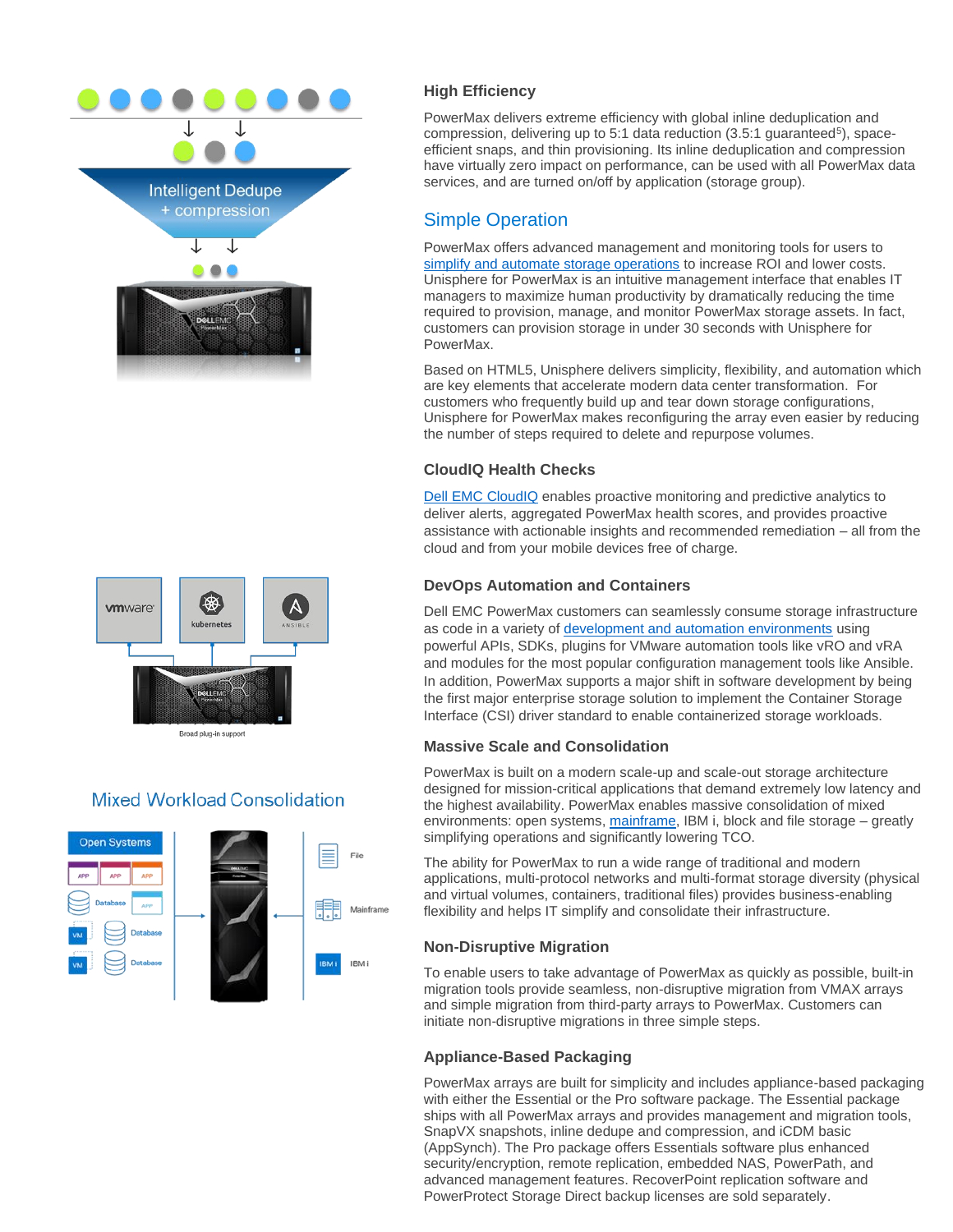



Broad plug-in support

## **Mixed Workload Consolidation**



## **High Efficiency**

PowerMax delivers extreme efficiency with global inline deduplication and compression, delivering up to 5:1 data reduction (3.5:1 guaranteed<sup>5</sup>), spaceefficient snaps, and thin provisioning. Its inline deduplication and compression have virtually zero impact on performance, can be used with all PowerMax data services, and are turned on/off by application (storage group).

## Simple Operation

PowerMax offers advanced management and monitoring tools for users to [simplify and automate storage operations](https://www.youtube.com/watch?v=RjolqmHKHVU&list=PLbssOJyyvHuUoKdHVjoUTCEQeYgCKn8nu&index=2) to increase ROI and lower costs. Unisphere for PowerMax is an intuitive management interface that enables IT managers to maximize human productivity by dramatically reducing the time required to provision, manage, and monitor PowerMax storage assets. In fact, customers can provision storage in under 30 seconds with Unisphere for PowerMax.

Based on HTML5, Unisphere delivers simplicity, flexibility, and automation which are key elements that accelerate modern data center transformation. For customers who frequently build up and tear down storage configurations, Unisphere for PowerMax makes reconfiguring the array even easier by reducing the number of steps required to delete and repurpose volumes.

## **CloudIQ Health Checks**

[Dell EMC CloudIQ](https://www.delltechnologies.com/en-us/storage/cloudiq.htm) enables proactive monitoring and predictive analytics to deliver alerts, aggregated PowerMax health scores, and provides proactive assistance with actionable insights and recommended remediation – all from the cloud and from your mobile devices free of charge.

## **DevOps Automation and Containers**

Dell EMC PowerMax customers can seamlessly consume storage infrastructure as code in a variety of [development and automation environments](https://www.delltechnologies.com/en-us/storage/storage-automation-and-developer-resources/index.htm) using powerful APIs, SDKs, plugins for VMware automation tools like vRO and vRA and modules for the most popular configuration management tools like Ansible. In addition, PowerMax supports a major shift in software development by being the first major enterprise storage solution to implement the Container Storage Interface (CSI) driver standard to enable containerized storage workloads.

## **Massive Scale and Consolidation**

PowerMax is built on a modern scale-up and scale-out storage architecture designed for mission-critical applications that demand extremely low latency and the highest availability. PowerMax enables massive consolidation of mixed environments: open systems, [mainframe,](https://www.delltechnologies.com/en-us/storage/mainframe.htm) IBM i, block and file storage – greatly simplifying operations and significantly lowering TCO.

The ability for PowerMax to run a wide range of traditional and modern applications, multi-protocol networks and multi-format storage diversity (physical and virtual volumes, containers, traditional files) provides business-enabling flexibility and helps IT simplify and consolidate their infrastructure.

## **Non-Disruptive Migration**

To enable users to take advantage of PowerMax as quickly as possible, built-in migration tools provide seamless, non-disruptive migration from VMAX arrays and simple migration from third-party arrays to PowerMax. Customers can initiate non-disruptive migrations in three simple steps.

## **Appliance-Based Packaging**

PowerMax arrays are built for simplicity and includes appliance-based packaging with either the Essential or the Pro software package. The Essential package ships with all PowerMax arrays and provides management and migration tools, SnapVX snapshots, inline dedupe and compression, and iCDM basic (AppSynch). The Pro package offers Essentials software plus enhanced security/encryption, remote replication, embedded NAS, PowerPath, and advanced management features. RecoverPoint replication software and PowerProtect Storage Direct backup licenses are sold separately.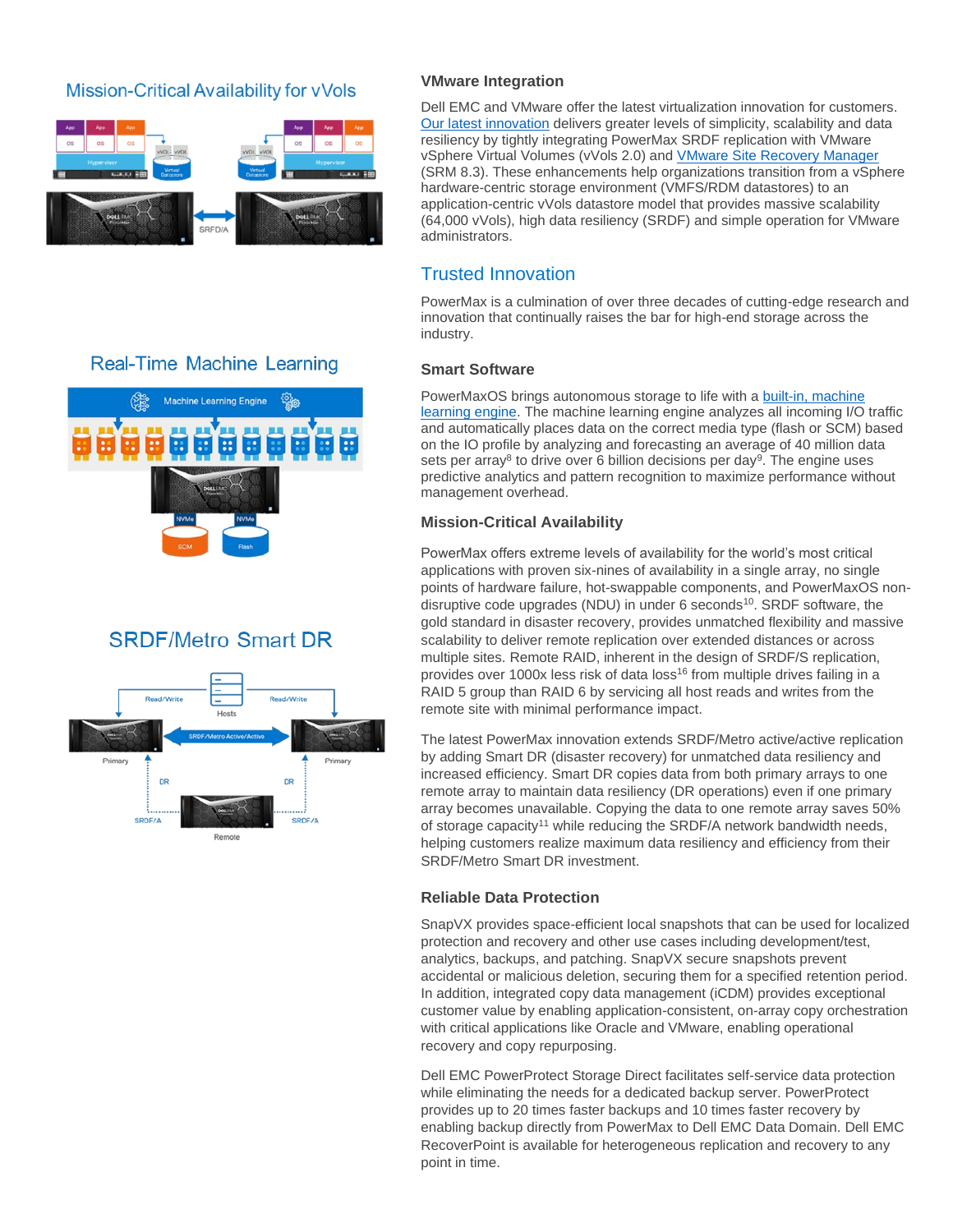## Mission-Critical Availability for vVols



## **Real-Time Machine Learning**



## **SRDF/Metro Smart DR**



#### **VMware Integration**

Dell EMC and VMware offer the latest virtualization innovation for customers. [Our latest innovation](http://blogs.vmware.com/virtualblocks/2020/09/29/new-dell-emc-powermax-updates-push-the-boundaries-of-high-end-storage) delivers greater levels of simplicity, scalability and data resiliency by tightly integrating PowerMax SRDF replication with VMware vSphere Virtual Volumes (vVols 2.0) and [VMware Site Recovery Manager](https://www.delltechnologies.com/en-us/events/webinar/home.htm?commid=482123) (SRM 8.3). These enhancements help organizations transition from a vSphere hardware-centric storage environment (VMFS/RDM datastores) to an application-centric vVols datastore model that provides massive scalability (64,000 vVols), high data resiliency (SRDF) and simple operation for VMware administrators.

## Trusted Innovation

PowerMax is a culmination of over three decades of cutting-edge research and innovation that continually raises the bar for high-end storage across the industry.

#### **Smart Software**

PowerMaxOS brings autonomous storage to life with a [built-in, machine](https://www.youtube.com/watch?v=oZCHr6zvXhM&list=PLbssOJyyvHuUoKdHVjoUTCEQeYgCKn8nu&index=10)  [learning engine.](https://www.youtube.com/watch?v=oZCHr6zvXhM&list=PLbssOJyyvHuUoKdHVjoUTCEQeYgCKn8nu&index=10) The machine learning engine analyzes all incoming I/O traffic and automatically places data on the correct media type (flash or SCM) based on the IO profile by analyzing and forecasting an average of 40 million data sets per array<sup>8</sup> to drive over 6 billion decisions per day<sup>9</sup>. The engine uses predictive analytics and pattern recognition to maximize performance without management overhead.

## **Mission-Critical Availability**

PowerMax offers extreme levels of availability for the world's most critical applications with proven six-nines of availability in a single array, no single points of hardware failure, hot-swappable components, and PowerMaxOS nondisruptive code upgrades (NDU) in under 6 seconds<sup>10</sup>. SRDF software, the gold standard in disaster recovery, provides unmatched flexibility and massive scalability to deliver remote replication over extended distances or across multiple sites. Remote RAID, inherent in the design of SRDF/S replication, provides over 1000x less risk of data loss<sup>16</sup> from multiple drives failing in a RAID 5 group than RAID 6 by servicing all host reads and writes from the remote site with minimal performance impact.

The latest PowerMax innovation extends SRDF/Metro active/active replication by adding Smart DR (disaster recovery) for unmatched data resiliency and increased efficiency. Smart DR copies data from both primary arrays to one remote array to maintain data resiliency (DR operations) even if one primary array becomes unavailable. Copying the data to one remote array saves 50% of storage capacity<sup>11</sup> while reducing the SRDF/A network bandwidth needs, helping customers realize maximum data resiliency and efficiency from their SRDF/Metro Smart DR investment.

## **Reliable Data Protection**

SnapVX provides space-efficient local snapshots that can be used for localized protection and recovery and other use cases including development/test, analytics, backups, and patching. SnapVX secure snapshots prevent accidental or malicious deletion, securing them for a specified retention period. In addition, integrated copy data management (iCDM) provides exceptional customer value by enabling application-consistent, on-array copy orchestration with critical applications like Oracle and VMware, enabling operational recovery and copy repurposing.

Dell EMC PowerProtect Storage Direct facilitates self-service data protection while eliminating the needs for a dedicated backup server. PowerProtect provides up to 20 times faster backups and 10 times faster recovery by enabling backup directly from PowerMax to Dell EMC Data Domain. Dell EMC RecoverPoint is available for heterogeneous replication and recovery to any point in time.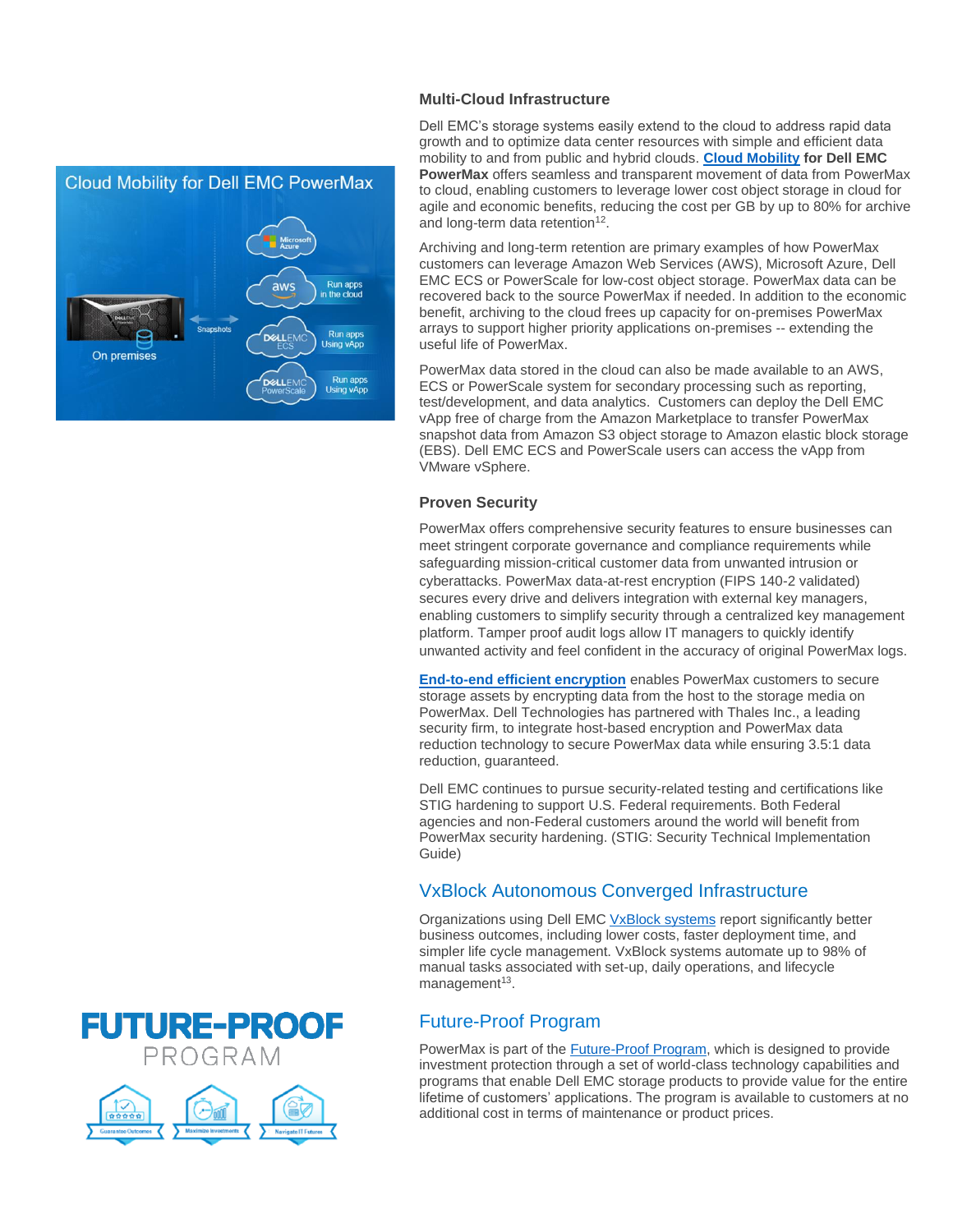

## **Multi-Cloud Infrastructure**

Dell EMC's storage systems easily extend to the cloud to address rapid data growth and to optimize data center resources with simple and efficient data mobility to and from public and hybrid clouds. **[Cloud Mobility](https://www.youtube.com/watch?v=pX3Ddi3mXTU&list=PLbssOJyyvHuUoKdHVjoUTCEQeYgCKn8nu&index=4) for Dell EMC PowerMax** offers seamless and transparent movement of data from PowerMax to cloud, enabling customers to leverage lower cost object storage in cloud for agile and economic benefits, reducing the cost per GB by up to 80% for archive and long-term data retention<sup>12</sup>.

Archiving and long-term retention are primary examples of how PowerMax customers can leverage Amazon Web Services (AWS), Microsoft Azure, Dell EMC ECS or PowerScale for low-cost object storage. PowerMax data can be recovered back to the source PowerMax if needed. In addition to the economic benefit, archiving to the cloud frees up capacity for on-premises PowerMax arrays to support higher priority applications on-premises -- extending the useful life of PowerMax.

PowerMax data stored in the cloud can also be made available to an AWS, ECS or PowerScale system for secondary processing such as reporting, test/development, and data analytics. Customers can deploy the Dell EMC vApp free of charge from the Amazon Marketplace to transfer PowerMax snapshot data from Amazon S3 object storage to Amazon elastic block storage (EBS). Dell EMC ECS and PowerScale users can access the vApp from VMware vSphere.

## **Proven Security**

PowerMax offers comprehensive security features to ensure businesses can meet stringent corporate governance and compliance requirements while safeguarding mission-critical customer data from unwanted intrusion or cyberattacks. PowerMax data-at-rest encryption (FIPS 140-2 validated) secures every drive and delivers integration with external key managers, enabling customers to simplify security through a centralized key management platform. Tamper proof audit logs allow IT managers to quickly identify unwanted activity and feel confident in the accuracy of original PowerMax logs.

**[End-to-end efficient encryption](https://www.youtube.com/watch?v=pOmEh_k-E3M&list=PLbssOJyyvHuUoKdHVjoUTCEQeYgCKn8nu&index=19)** enables PowerMax customers to secure storage assets by encrypting data from the host to the storage media on PowerMax. Dell Technologies has partnered with Thales Inc., a leading security firm, to integrate host-based encryption and PowerMax data reduction technology to secure PowerMax data while ensuring 3.5:1 data reduction, guaranteed.

Dell EMC continues to pursue security-related testing and certifications like STIG hardening to support U.S. Federal requirements. Both Federal agencies and non-Federal customers around the world will benefit from PowerMax security hardening. (STIG: Security Technical Implementation Guide)

## VxBlock Autonomous Converged Infrastructure

Organizations using Dell EMC [VxBlock systems](https://www.delltechnologies.com/en-us/converged-infrastructure/converged-systems.htm#accordion0) report significantly better business outcomes, including lower costs, faster deployment time, and simpler life cycle management. VxBlock systems automate up to 98% of manual tasks associated with set-up, daily operations, and lifecycle management<sup>13</sup>.

## Future-Proof Program

PowerMax is part of the **Future-Proof Program**, which is designed to provide investment protection through a set of world-class technology capabilities and programs that enable Dell EMC storage products to provide value for the entire lifetime of customers' applications. The program is available to customers at no additional cost in terms of maintenance or product prices.